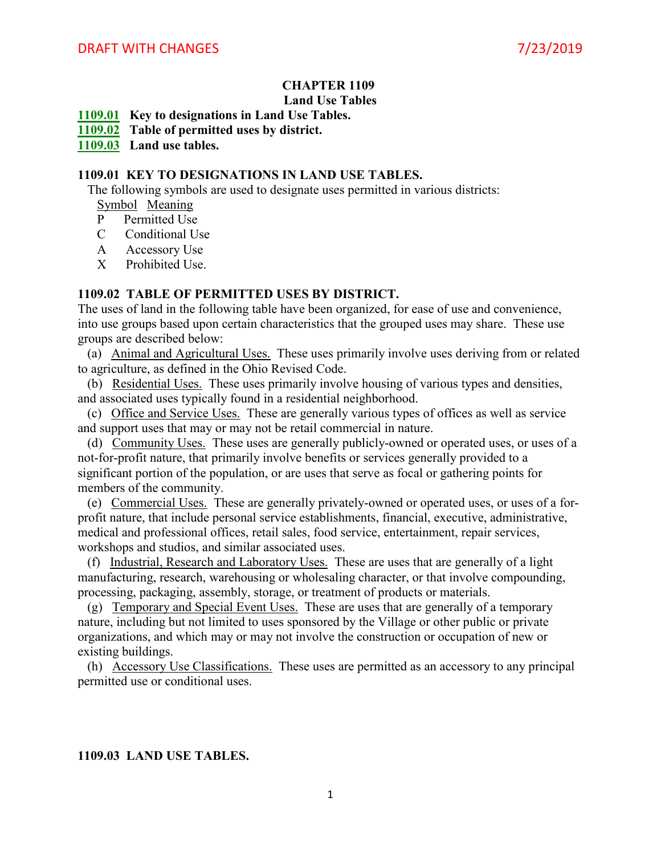## **CHAPTER 1109 Land Use Tables**

**[1109.01](http://whdrane.conwaygreene.com/nxt/gateway.dll?f=jumplink$jumplink_x=Advanced$jumplink_vpc=first$jumplink_xsl=querylink.xsl$jumplink_sel=title;path;content-type;home-title;item-bookmark$jumplink_d=peninsul$jumplink_q=%5bfield%20folio-destination-name:%271109.01%27%5d$jumplink_md=target-id=0-0-0-1575) Key to designations in Land Use Tables.**

**[1109.02](http://whdrane.conwaygreene.com/nxt/gateway.dll?f=jumplink$jumplink_x=Advanced$jumplink_vpc=first$jumplink_xsl=querylink.xsl$jumplink_sel=title;path;content-type;home-title;item-bookmark$jumplink_d=peninsul$jumplink_q=%5bfield%20folio-destination-name:%271109.02%27%5d$jumplink_md=target-id=0-0-0-1577) Table of permitted uses by district.**

**[1109.03](http://whdrane.conwaygreene.com/nxt/gateway.dll?f=jumplink$jumplink_x=Advanced$jumplink_vpc=first$jumplink_xsl=querylink.xsl$jumplink_sel=title;path;content-type;home-title;item-bookmark$jumplink_d=peninsul$jumplink_q=%5bfield%20folio-destination-name:%271109.03%27%5d$jumplink_md=target-id=0-0-0-1579) Land use tables.**

## **1109.01 KEY TO DESIGNATIONS IN LAND USE TABLES.**

The following symbols are used to designate uses permitted in various districts:

Symbol Meaning

- P Permitted Use
- C Conditional Use
- A Accessory Use
- X Prohibited Use.

## **1109.02 TABLE OF PERMITTED USES BY DISTRICT.**

The uses of land in the following table have been organized, for ease of use and convenience, into use groups based upon certain characteristics that the grouped uses may share. These use groups are described below:

 (a) Animal and Agricultural Uses. These uses primarily involve uses deriving from or related to agriculture, as defined in the Ohio Revised Code.

 (b) Residential Uses. These uses primarily involve housing of various types and densities, and associated uses typically found in a residential neighborhood.

 (c) Office and Service Uses. These are generally various types of offices as well as service and support uses that may or may not be retail commercial in nature.

 (d) Community Uses. These uses are generally publicly-owned or operated uses, or uses of a not-for-profit nature, that primarily involve benefits or services generally provided to a significant portion of the population, or are uses that serve as focal or gathering points for members of the community.

 (e) Commercial Uses. These are generally privately-owned or operated uses, or uses of a forprofit nature, that include personal service establishments, financial, executive, administrative, medical and professional offices, retail sales, food service, entertainment, repair services, workshops and studios, and similar associated uses.

 (f) Industrial, Research and Laboratory Uses. These are uses that are generally of a light manufacturing, research, warehousing or wholesaling character, or that involve compounding, processing, packaging, assembly, storage, or treatment of products or materials.

 (g) Temporary and Special Event Uses. These are uses that are generally of a temporary nature, including but not limited to uses sponsored by the Village or other public or private organizations, and which may or may not involve the construction or occupation of new or existing buildings.

 (h) Accessory Use Classifications. These uses are permitted as an accessory to any principal permitted use or conditional uses.

## **1109.03 LAND USE TABLES.**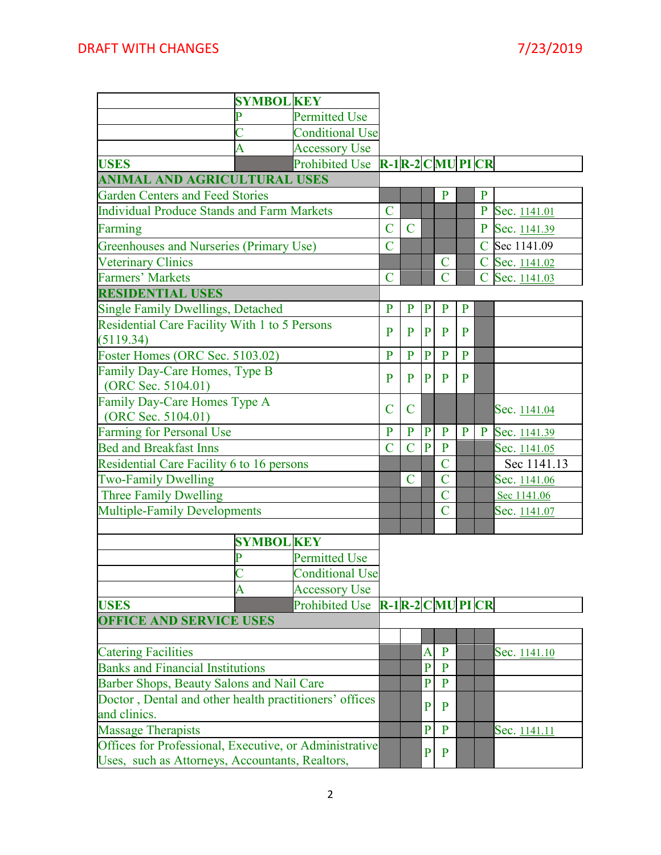|                                                                   | <b>SYMBOL KEY</b> |                        |                |                |                |                                |                |                |              |
|-------------------------------------------------------------------|-------------------|------------------------|----------------|----------------|----------------|--------------------------------|----------------|----------------|--------------|
|                                                                   | P                 | <b>Permitted Use</b>   |                |                |                |                                |                |                |              |
|                                                                   |                   | <b>Conditional Use</b> |                |                |                |                                |                |                |              |
|                                                                   | A                 | <b>Accessory Use</b>   |                |                |                |                                |                |                |              |
| <b>USES</b>                                                       |                   | <b>Prohibited Use</b>  |                |                |                | $R-1R-2$ CMUPICR               |                |                |              |
| ANIMAL AND AGRICULTURAL USES                                      |                   |                        |                |                |                |                                |                |                |              |
| <b>Garden Centers and Feed Stories</b>                            |                   |                        |                |                |                | $\mathbf{P}$                   |                | $\mathbf{P}$   |              |
| <b>Individual Produce Stands and Farm Markets</b>                 |                   |                        | $\overline{C}$ |                |                |                                |                | $\mathbf{P}$   | Sec. 1141.01 |
| Farming                                                           |                   |                        | $\overline{C}$ | $\overline{C}$ |                |                                |                | $\mathbf P$    | Sec. 1141.39 |
| Greenhouses and Nurseries (Primary Use)                           |                   |                        | $\overline{C}$ |                |                |                                |                | $\mathbf C$    | Sec 1141.09  |
| <b>Veterinary Clinics</b>                                         |                   |                        |                |                |                | C                              |                | $\mathbf C$    | Sec. 1141.02 |
| <b>Farmers' Markets</b>                                           |                   |                        | $\overline{C}$ |                |                | $\overline{C}$                 |                | $\overline{C}$ | Sec. 1141.03 |
| <b>RESIDENTIAL USES</b>                                           |                   |                        |                |                |                |                                |                |                |              |
| <b>Single Family Dwellings, Detached</b>                          |                   |                        | $\overline{P}$ | $\mathbf{P}$   | $\mathbf{P}$   | $\mathbf{P}$                   | $\mathbf{P}$   |                |              |
| <b>Residential Care Facility With 1 to 5 Persons</b><br>(5119.34) |                   |                        | P              | $\mathbf{P}$   | P              | P                              | P              |                |              |
| Foster Homes (ORC Sec. 5103.02)                                   |                   |                        | P              | $\overline{P}$ | $\overline{P}$ | $\overline{P}$                 | $\overline{P}$ |                |              |
| Family Day-Care Homes, Type B                                     |                   |                        |                |                |                |                                |                |                |              |
| (ORC Sec. 5104.01)                                                |                   |                        | P              | $\mathbf{P}$   | $\mathbf{P}$   | P                              | P              |                |              |
| Family Day-Care Homes Type A                                      |                   |                        |                |                |                |                                |                |                |              |
| (ORC Sec. 5104.01)                                                |                   |                        | $\mathbf C$    | $\overline{C}$ |                |                                |                |                | Sec. 1141.04 |
| <b>Farming for Personal Use</b>                                   |                   |                        |                |                | $\mathbf{P}$   | $\mathbf{P}$                   | $\mathbf{P}$   | $\mathbf{P}$   | Sec. 1141.39 |
| <b>Bed and Breakfast Inns</b>                                     |                   |                        | $\overline{C}$ | $\overline{C}$ | $\overline{P}$ | $\mathbf{P}$                   |                |                | Sec. 1141.05 |
| Residential Care Facility 6 to 16 persons                         |                   |                        |                |                |                | $\overline{C}$                 |                |                | Sec 1141.13  |
| <b>Two-Family Dwelling</b>                                        |                   |                        |                | $\overline{C}$ |                | $\overline{C}$                 |                |                | Sec. 1141.06 |
| Three Family Dwelling                                             |                   |                        |                |                |                | $\overline{C}$                 |                |                | Sec 1141.06  |
| <b>Multiple-Family Developments</b>                               |                   |                        |                |                |                | $\overline{C}$                 |                |                | Sec. 1141.07 |
|                                                                   |                   |                        |                |                |                |                                |                |                |              |
|                                                                   | <b>SYMBOL KEY</b> |                        |                |                |                |                                |                |                |              |
|                                                                   | P                 | <b>Permitted Use</b>   |                |                |                |                                |                |                |              |
|                                                                   |                   | <b>Conditional Use</b> |                |                |                |                                |                |                |              |
|                                                                   | A                 | <b>Accessory Use</b>   |                |                |                |                                |                |                |              |
| <b>USES</b>                                                       |                   | <b>Prohibited Use</b>  |                |                |                | $R-1$ $R-2$ $C$ $MU$ $PI$ $CR$ |                |                |              |
| <b>OFFICE AND SERVICE USES</b>                                    |                   |                        |                |                |                |                                |                |                |              |
|                                                                   |                   |                        |                |                |                |                                |                |                |              |
| <b>Catering Facilities</b>                                        |                   |                        |                |                | A              | P                              |                |                | Sec. 1141.10 |
| <b>Banks and Financial Institutions</b>                           |                   |                        |                |                | $\overline{P}$ | $\mathbf{P}$                   |                |                |              |
| Barber Shops, Beauty Salons and Nail Care                         |                   |                        |                |                | $\mathbf{P}$   | $\mathbf{P}$                   |                |                |              |
| Doctor, Dental and other health practitioners' offices            |                   |                        |                |                | $\mathbf{P}$   | P                              |                |                |              |
| and clinics.                                                      |                   |                        |                |                |                |                                |                |                |              |
| <b>Massage Therapists</b>                                         |                   |                        |                |                | $\mathbf{P}$   | $\mathbf{P}$                   |                |                | Sec. 1141.11 |
| Offices for Professional, Executive, or Administrative            |                   |                        |                |                | $\mathbf{P}$   | $\mathbf{P}$                   |                |                |              |
| Uses, such as Attorneys, Accountants, Realtors,                   |                   |                        |                |                |                |                                |                |                |              |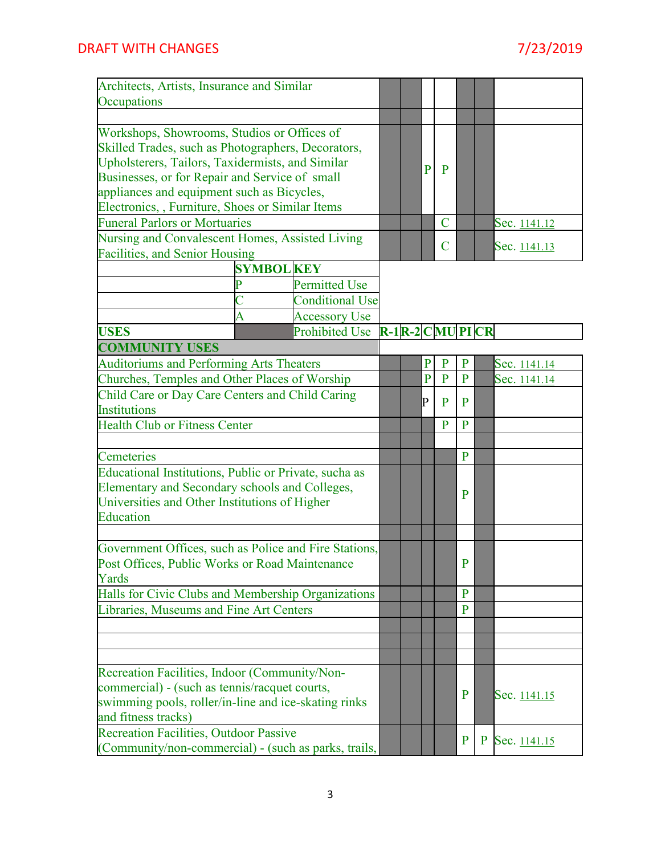| Architects, Artists, Insurance and Similar<br>Occupations                                             |   |                   |                        |  |                     |                |                |              |              |                     |
|-------------------------------------------------------------------------------------------------------|---|-------------------|------------------------|--|---------------------|----------------|----------------|--------------|--------------|---------------------|
|                                                                                                       |   |                   |                        |  |                     |                |                |              |              |                     |
| Workshops, Showrooms, Studios or Offices of                                                           |   |                   |                        |  |                     |                |                |              |              |                     |
| Skilled Trades, such as Photographers, Decorators,                                                    |   |                   |                        |  |                     |                |                |              |              |                     |
| Upholsterers, Tailors, Taxidermists, and Similar                                                      |   |                   |                        |  |                     | P              | P              |              |              |                     |
| Businesses, or for Repair and Service of small                                                        |   |                   |                        |  |                     |                |                |              |              |                     |
| appliances and equipment such as Bicycles,                                                            |   |                   |                        |  |                     |                |                |              |              |                     |
| Electronics, , Furniture, Shoes or Similar Items<br><b>Funeral Parlors or Mortuaries</b>              |   |                   |                        |  |                     |                | $\overline{C}$ |              |              |                     |
|                                                                                                       |   |                   |                        |  |                     |                |                |              |              | Sec. 1141.12        |
| Nursing and Convalescent Homes, Assisted Living                                                       |   |                   |                        |  |                     |                | $\mathbf C$    |              |              | Sec. 1141.13        |
| Facilities, and Senior Housing                                                                        |   | <b>SYMBOL KEY</b> |                        |  |                     |                |                |              |              |                     |
|                                                                                                       |   |                   | <b>Permitted Use</b>   |  |                     |                |                |              |              |                     |
|                                                                                                       |   |                   |                        |  |                     |                |                |              |              |                     |
|                                                                                                       |   |                   | <b>Conditional Use</b> |  |                     |                |                |              |              |                     |
|                                                                                                       | A |                   | <b>Accessory Use</b>   |  |                     |                |                |              |              |                     |
| <b>USES</b>                                                                                           |   |                   | <b>Prohibited Use</b>  |  | $R-1R-2$ C MU PI CR |                |                |              |              |                     |
| <b>COMMUNITY USES</b>                                                                                 |   |                   |                        |  |                     |                |                |              |              |                     |
| <b>Auditoriums and Performing Arts Theaters</b>                                                       |   |                   |                        |  |                     | $\mathbf{P}$   | $\mathbf{P}$   | $\mathbf{P}$ |              | Sec. <u>1141.14</u> |
| Churches, Temples and Other Places of Worship                                                         |   |                   |                        |  |                     | $\overline{P}$ | $\overline{P}$ | $\mathbf{P}$ |              | Sec. 1141.14        |
| Child Care or Day Care Centers and Child Caring                                                       |   |                   |                        |  |                     | P              | P              | $\mathbf{P}$ |              |                     |
| <b>Institutions</b>                                                                                   |   |                   |                        |  |                     |                |                |              |              |                     |
| <b>Health Club or Fitness Center</b>                                                                  |   |                   |                        |  |                     |                | $\overline{P}$ | $\mathbf{P}$ |              |                     |
|                                                                                                       |   |                   |                        |  |                     |                |                |              |              |                     |
| Cemeteries                                                                                            |   |                   |                        |  |                     |                |                | $\mathbf{P}$ |              |                     |
| Educational Institutions, Public or Private, sucha as                                                 |   |                   |                        |  |                     |                |                |              |              |                     |
| Elementary and Secondary schools and Colleges,                                                        |   |                   |                        |  |                     |                |                | $\mathbf{P}$ |              |                     |
| Universities and Other Institutions of Higher                                                         |   |                   |                        |  |                     |                |                |              |              |                     |
| Education                                                                                             |   |                   |                        |  |                     |                |                |              |              |                     |
|                                                                                                       |   |                   |                        |  |                     |                |                |              |              |                     |
| Government Offices, such as Police and Fire Stations,                                                 |   |                   |                        |  |                     |                |                |              |              |                     |
| Post Offices, Public Works or Road Maintenance<br>Yards                                               |   |                   |                        |  |                     |                |                | $\mathbf{P}$ |              |                     |
|                                                                                                       |   |                   |                        |  |                     |                |                | P            |              |                     |
| Halls for Civic Clubs and Membership Organizations                                                    |   |                   |                        |  |                     |                |                |              |              |                     |
| Libraries, Museums and Fine Art Centers                                                               |   |                   |                        |  |                     |                |                | $\mathbf{P}$ |              |                     |
|                                                                                                       |   |                   |                        |  |                     |                |                |              |              |                     |
|                                                                                                       |   |                   |                        |  |                     |                |                |              |              |                     |
|                                                                                                       |   |                   |                        |  |                     |                |                |              |              |                     |
| Recreation Facilities, Indoor (Community/Non-                                                         |   |                   |                        |  |                     |                |                |              |              |                     |
| commercial) - (such as tennis/racquet courts,<br>swimming pools, roller/in-line and ice-skating rinks |   |                   |                        |  |                     |                |                | $\mathbf{P}$ |              | Sec. 1141.15        |
| and fitness tracks)                                                                                   |   |                   |                        |  |                     |                |                |              |              |                     |
| <b>Recreation Facilities, Outdoor Passive</b>                                                         |   |                   |                        |  |                     |                |                |              |              |                     |
| (Community/non-commercial) - (such as parks, trails,                                                  |   |                   |                        |  |                     |                |                | P            | $\mathbf{P}$ | Sec. 1141.15        |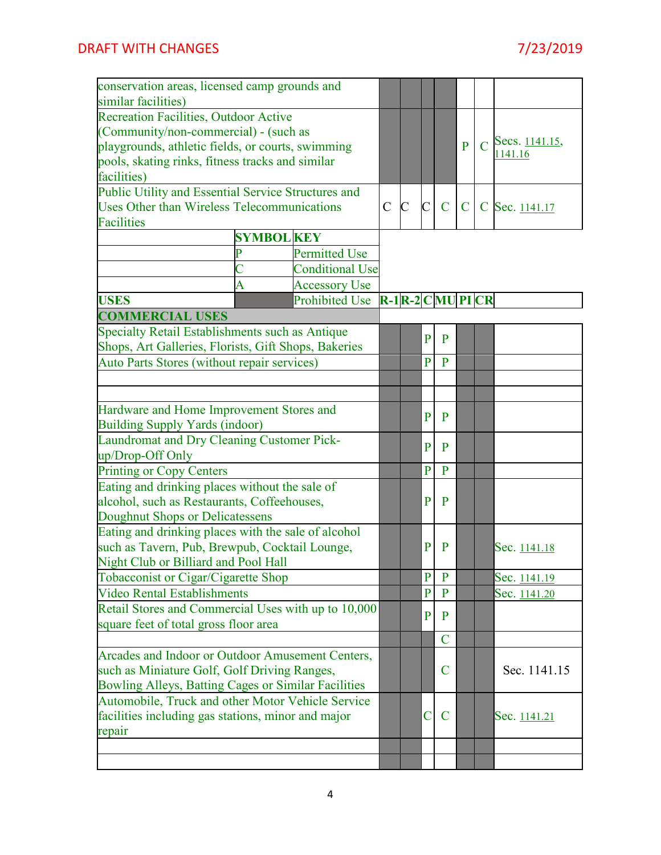| conservation areas, licensed camp grounds and                                         |   |                        |             |                |                |                  |              |                             |
|---------------------------------------------------------------------------------------|---|------------------------|-------------|----------------|----------------|------------------|--------------|-----------------------------|
| similar facilities)                                                                   |   |                        |             |                |                |                  |              |                             |
| <b>Recreation Facilities, Outdoor Active</b><br>(Community/non-commercial) - (such as |   |                        |             |                |                |                  |              |                             |
|                                                                                       |   |                        |             |                |                |                  | P            | C Secs. $\frac{1141.15}{2}$ |
| playgrounds, athletic fields, or courts, swimming                                     |   |                        |             |                |                |                  |              | 1141.16                     |
| pools, skating rinks, fitness tracks and similar<br>facilities)                       |   |                        |             |                |                |                  |              |                             |
|                                                                                       |   |                        |             |                |                |                  |              |                             |
| Public Utility and Essential Service Structures and                                   |   |                        | $\mathbf C$ | $\mathbf C$    | $\overline{C}$ | $\mathbf C$      | $\mathbf{C}$ |                             |
| Uses Other than Wireless Telecommunications<br><b>Facilities</b>                      |   |                        |             |                |                |                  |              | C Sec. 1141.17              |
| <b>SYMBOL KEY</b>                                                                     |   |                        |             |                |                |                  |              |                             |
| <b>Permitted Use</b>                                                                  |   |                        |             |                |                |                  |              |                             |
|                                                                                       |   | <b>Conditional Use</b> |             |                |                |                  |              |                             |
|                                                                                       | Ā | <b>Accessory Use</b>   |             |                |                |                  |              |                             |
| <b>USES</b>                                                                           |   | <b>Prohibited Use</b>  |             |                |                | $R-1R-2$ CMUPICR |              |                             |
| <b>COMMERCIAL USES</b>                                                                |   |                        |             |                |                |                  |              |                             |
| Specialty Retail Establishments such as Antique                                       |   |                        |             |                |                |                  |              |                             |
| Shops, Art Galleries, Florists, Gift Shops, Bakeries                                  |   |                        |             |                | $\mathbf{P}$   | $\mathbf{P}$     |              |                             |
| Auto Parts Stores (without repair services)                                           |   |                        |             |                | $\overline{P}$ | $\mathbf{P}$     |              |                             |
|                                                                                       |   |                        |             |                |                |                  |              |                             |
|                                                                                       |   |                        |             |                |                |                  |              |                             |
| Hardware and Home Improvement Stores and                                              |   |                        |             |                |                |                  |              |                             |
| <b>Building Supply Yards (indoor)</b>                                                 |   |                        |             |                | P              | P                |              |                             |
| Laundromat and Dry Cleaning Customer Pick-                                            |   |                        |             |                |                |                  |              |                             |
| up/Drop-Off Only                                                                      |   |                        |             |                | $\mathbf{P}$   | P                |              |                             |
| <b>Printing or Copy Centers</b>                                                       |   |                        |             |                | $\mathbf{P}$   | $\mathbf{P}$     |              |                             |
| Eating and drinking places without the sale of                                        |   |                        |             |                |                |                  |              |                             |
| alcohol, such as Restaurants, Coffeehouses,                                           |   |                        |             |                | P              | P                |              |                             |
| Doughnut Shops or Delicatessens                                                       |   |                        |             |                |                |                  |              |                             |
| Eating and drinking places with the sale of alcohol                                   |   |                        |             |                |                |                  |              |                             |
| such as Tavern, Pub, Brewpub, Cocktail Lounge,                                        |   |                        |             |                | P              | P                |              | Sec. 1141.18                |
| Night Club or Billiard and Pool Hall                                                  |   |                        |             |                |                |                  |              |                             |
| Tobacconist or Cigar/Cigarette Shop                                                   |   |                        |             |                | $\mathbf{P}$   | P                |              | Sec. 1141.19                |
| <b>Video Rental Establishments</b>                                                    |   |                        |             |                | $\overline{P}$ | P                |              | Sec. 1141.20                |
| Retail Stores and Commercial Uses with up to 10,000                                   |   |                        |             |                | $\mathbf{P}$   | P                |              |                             |
| square feet of total gross floor area                                                 |   |                        |             |                |                |                  |              |                             |
|                                                                                       |   |                        |             | $\overline{C}$ |                |                  |              |                             |
| Arcades and Indoor or Outdoor Amusement Centers,                                      |   |                        |             |                |                |                  |              |                             |
| such as Miniature Golf, Golf Driving Ranges,                                          |   |                        |             | C              |                | Sec. 1141.15     |              |                             |
| Bowling Alleys, Batting Cages or Similar Facilities                                   |   |                        |             |                |                |                  |              |                             |
| Automobile, Truck and other Motor Vehicle Service                                     |   |                        |             |                |                |                  |              |                             |
| facilities including gas stations, minor and major                                    |   |                        |             |                | C              | C                |              | Sec. 1141.21                |
| repair                                                                                |   |                        |             |                |                |                  |              |                             |
|                                                                                       |   |                        |             |                |                |                  |              |                             |
|                                                                                       |   |                        |             |                |                |                  |              |                             |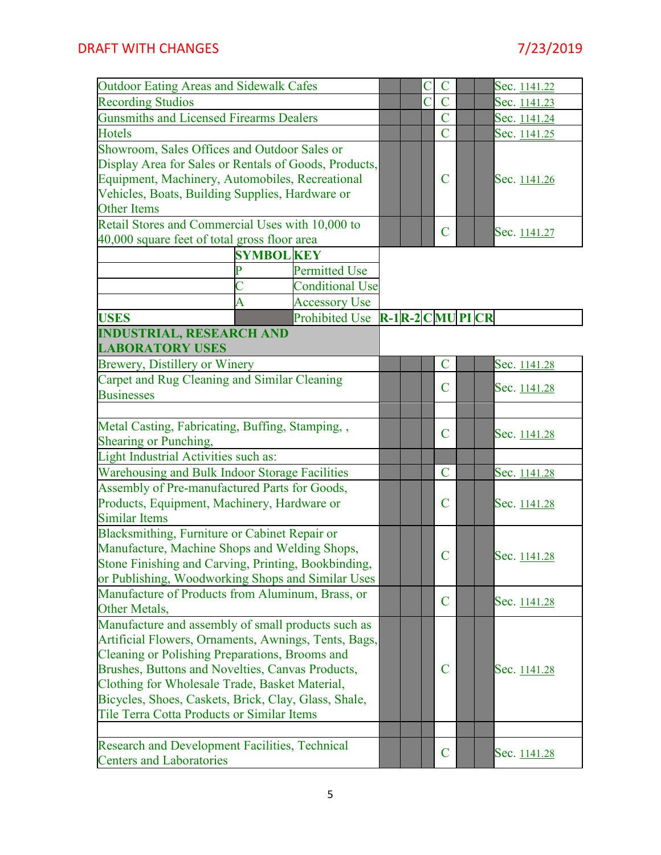| Outdoor Eating Areas and Sidewalk Cafes                                                         |   |                                                                                                     |  |  | $\overline{C}$     | Sec. 1141.22 |
|-------------------------------------------------------------------------------------------------|---|-----------------------------------------------------------------------------------------------------|--|--|--------------------|--------------|
| <b>Recording Studios</b>                                                                        |   |                                                                                                     |  |  | $\mathbf C$<br>C   | Sec. 1141.23 |
| <b>Gunsmiths and Licensed Firearms Dealers</b>                                                  |   |                                                                                                     |  |  | $\overline{C}$     | Sec. 1141.24 |
| Hotels                                                                                          |   |                                                                                                     |  |  | $\overline{C}$     | Sec. 1141.25 |
| Showroom, Sales Offices and Outdoor Sales or                                                    |   |                                                                                                     |  |  |                    |              |
| Display Area for Sales or Rentals of Goods, Products,                                           |   |                                                                                                     |  |  |                    |              |
| Equipment, Machinery, Automobiles, Recreational                                                 |   |                                                                                                     |  |  | $\mathbf C$        | Sec. 1141.26 |
| Vehicles, Boats, Building Supplies, Hardware or                                                 |   |                                                                                                     |  |  |                    |              |
| <b>Other Items</b>                                                                              |   |                                                                                                     |  |  |                    |              |
| Retail Stores and Commercial Uses with 10,000 to                                                |   |                                                                                                     |  |  | C                  | Sec. 1141.27 |
| 40,000 square feet of total gross floor area                                                    |   |                                                                                                     |  |  |                    |              |
| <b>SYMBOL KEY</b>                                                                               |   |                                                                                                     |  |  |                    |              |
|                                                                                                 |   | <b>Permitted Use</b>                                                                                |  |  |                    |              |
|                                                                                                 | C | <b>Conditional Use</b>                                                                              |  |  |                    |              |
|                                                                                                 | Â | <b>Accessory Use</b>                                                                                |  |  |                    |              |
| <b>USES</b>                                                                                     |   | Prohibited Use $\mathbf{R-1}$ $\mathbf{R-2}$ $\mathbf{C}$ $\mathbf{MU}$ $\mathbf{PI}$ $\mathbf{CR}$ |  |  |                    |              |
| <b>INDUSTRIAL, RESEARCH AND</b>                                                                 |   |                                                                                                     |  |  |                    |              |
| <b>LABORATORY USES</b>                                                                          |   |                                                                                                     |  |  |                    |              |
| Brewery, Distillery or Winery                                                                   |   |                                                                                                     |  |  | $\mathbf C$        | Sec. 1141.28 |
| Carpet and Rug Cleaning and Similar Cleaning                                                    |   |                                                                                                     |  |  | C                  | Sec. 1141.28 |
| <b>Businesses</b>                                                                               |   |                                                                                                     |  |  |                    |              |
|                                                                                                 |   |                                                                                                     |  |  |                    |              |
| Metal Casting, Fabricating, Buffing, Stamping,,                                                 |   |                                                                                                     |  |  | $\overline{\rm C}$ | Sec. 1141.28 |
| Shearing or Punching,                                                                           |   |                                                                                                     |  |  |                    |              |
| Light Industrial Activities such as:                                                            |   |                                                                                                     |  |  |                    |              |
| Warehousing and Bulk Indoor Storage Facilities<br>Assembly of Pre-manufactured Parts for Goods, |   |                                                                                                     |  |  | $\mathsf{C}$       | Sec. 1141.28 |
| Products, Equipment, Machinery, Hardware or                                                     |   |                                                                                                     |  |  | C                  | Sec. 1141.28 |
| <b>Similar Items</b>                                                                            |   |                                                                                                     |  |  |                    |              |
| Blacksmithing, Furniture or Cabinet Repair or                                                   |   |                                                                                                     |  |  |                    |              |
| Manufacture, Machine Shops and Welding Shops,                                                   |   |                                                                                                     |  |  |                    |              |
| Stone Finishing and Carving, Printing, Bookbinding,                                             |   |                                                                                                     |  |  | $\mathsf{C}$       | Sec. 1141.28 |
| or Publishing, Woodworking Shops and Similar Uses                                               |   |                                                                                                     |  |  |                    |              |
| Manufacture of Products from Aluminum, Brass, or                                                |   |                                                                                                     |  |  |                    |              |
| Other Metals,                                                                                   |   |                                                                                                     |  |  | C                  | Sec. 1141.28 |
| Manufacture and assembly of small products such as                                              |   |                                                                                                     |  |  |                    |              |
| Artificial Flowers, Ornaments, Awnings, Tents, Bags,                                            |   |                                                                                                     |  |  |                    |              |
| Cleaning or Polishing Preparations, Brooms and                                                  |   |                                                                                                     |  |  |                    |              |
| Brushes, Buttons and Novelties, Canvas Products,                                                |   |                                                                                                     |  |  | C                  | Sec. 1141.28 |
| Clothing for Wholesale Trade, Basket Material,                                                  |   |                                                                                                     |  |  |                    |              |
| Bicycles, Shoes, Caskets, Brick, Clay, Glass, Shale,                                            |   |                                                                                                     |  |  |                    |              |
| Tile Terra Cotta Products or Similar Items                                                      |   |                                                                                                     |  |  |                    |              |
|                                                                                                 |   |                                                                                                     |  |  |                    |              |
| <b>Research and Development Facilities, Technical</b>                                           |   |                                                                                                     |  |  | C                  | Sec. 1141.28 |
| <b>Centers and Laboratories</b>                                                                 |   |                                                                                                     |  |  |                    |              |